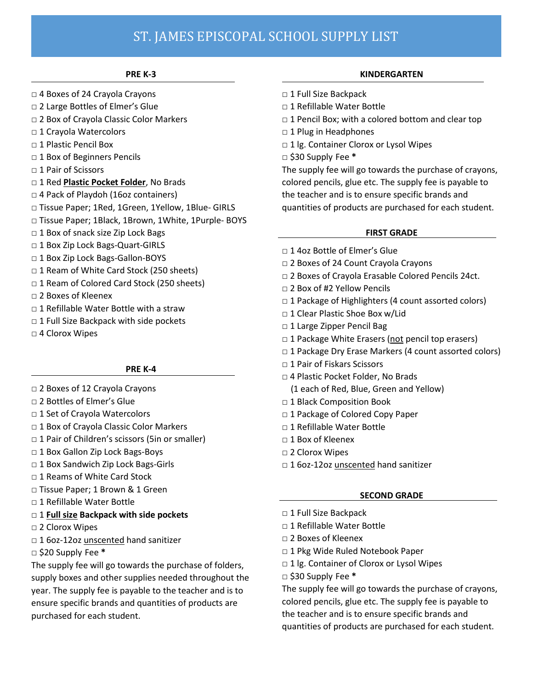# ST. JAMES EPISCOPAL SCHOOL SUPPLY LIST

#### **PRE K-3**

- **□** 4 Boxes of 24 Crayola Crayons
- **□** 2 Large Bottles of Elmer's Glue
- **□** 2 Box of Crayola Classic Color Markers
- **□** 1 Crayola Watercolors
- **□** 1 Plastic Pencil Box
- **□** 1 Box of Beginners Pencils
- **□** 1 Pair of Scissors
- **□** 1 Red **Plastic Pocket Folder**, No Brads
- **□** 4 Pack of Playdoh (16oz containers)
- **□** Tissue Paper; 1Red, 1Green, 1Yellow, 1Blue- GIRLS
- **□** Tissue Paper; 1Black, 1Brown, 1White, 1Purple- BOYS
- **□** 1 Box of snack size Zip Lock Bags
- **□** 1 Box Zip Lock Bags-Quart-GIRLS
- **□** 1 Box Zip Lock Bags-Gallon-BOYS
- **□** 1 Ream of White Card Stock (250 sheets)
- **□** 1 Ream of Colored Card Stock (250 sheets)
- **□** 2 Boxes of Kleenex
- □ 1 Refillable Water Bottle with a straw
- □ 1 Full Size Backpack with side pockets
- **□** 4 Clorox Wipes

### **PRE K-4**

- **□** 2 Boxes of 12 Crayola Crayons
- **□** 2 Bottles of Elmer's Glue
- **□** 1 Set of Crayola Watercolors
- **□** 1 Box of Crayola Classic Color Markers
- □ 1 Pair of Children's scissors (5in or smaller)
- **□** 1 Box Gallon Zip Lock Bags-Boys
- **□** 1 Box Sandwich Zip Lock Bags-Girls
- **□** 1 Reams of White Card Stock
- **□** Tissue Paper; 1 Brown & 1 Green
- **□** 1 Refillable Water Bottle
- **□** 1 **Full size Backpack with side pockets**
- **□** 2 Clorox Wipes
- **□** 1 6oz-12oz unscented hand sanitizer
- **□** \$20 Supply Fee **\***

The supply fee will go towards the purchase of folders, supply boxes and other supplies needed throughout the year. The supply fee is payable to the teacher and is to ensure specific brands and quantities of products are purchased for each student.

## **KINDERGARTEN**

- **□** 1 Full Size Backpack
- **□** 1 Refillable Water Bottle
- **□** 1 Pencil Box; with a colored bottom and clear top
- **□** 1 Plug in Headphones
- **□** 1 lg. Container Clorox or Lysol Wipes
- **□** \$30 Supply Fee **\***

The supply fee will go towards the purchase of crayons, colored pencils, glue etc. The supply fee is payable to the teacher and is to ensure specific brands and quantities of products are purchased for each student.

### **FIRST GRADE**

- □ 1 4oz Bottle of Elmer's Glue
- **□** 2 Boxes of 24 Count Crayola Crayons
- **□** 2 Boxes of Crayola Erasable Colored Pencils 24ct.
- **□** 2 Box of #2 Yellow Pencils
- **□** 1 Package of Highlighters (4 count assorted colors)
- **□** 1 Clear Plastic Shoe Box w/Lid
- **□** 1 Large Zipper Pencil Bag
- □ 1 Package White Erasers (not pencil top erasers)
- **□** 1 Package Dry Erase Markers (4 count assorted colors)
- **□** 1 Pair of Fiskars Scissors
- **□** 4 Plastic Pocket Folder, No Brads
	- (1 each of Red, Blue, Green and Yellow)
- **□** 1 Black Composition Book
- **□** 1 Package of Colored Copy Paper
- □ 1 Refillable Water Bottle
- **□** 1 Box of Kleenex
- **□** 2 Clorox Wipes
- **□** 1 6oz-12oz unscented hand sanitizer

### **SECOND GRADE**

- **□** 1 Full Size Backpack
- **□** 1 Refillable Water Bottle
- **□** 2 Boxes of Kleenex
- **□** 1 Pkg Wide Ruled Notebook Paper
- **□** 1 lg. Container of Clorox or Lysol Wipes
- **□** \$30 Supply Fee **\***

The supply fee will go towards the purchase of crayons, colored pencils, glue etc. The supply fee is payable to the teacher and is to ensure specific brands and quantities of products are purchased for each student.